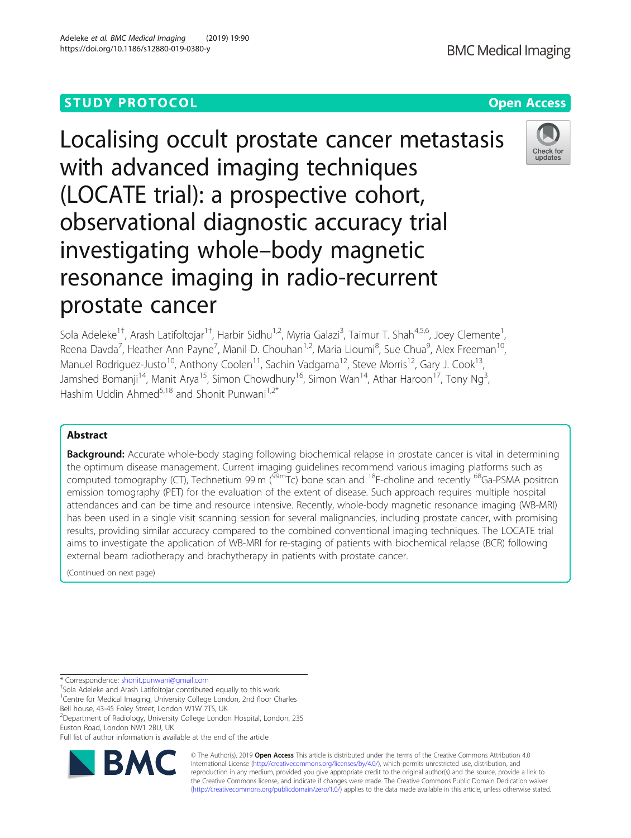# **STUDY PROTOCOL CONSUMING THE RESERVE ACCESS**

# Localising occult prostate cancer metastasis with advanced imaging techniques (LOCATE trial): a prospective cohort, observational diagnostic accuracy trial investigating whole–body magnetic resonance imaging in radio-recurrent prostate cancer

Sola Adeleke<sup>1†</sup>, Arash Latifoltojar<sup>1†</sup>, Harbir Sidhu<sup>1,2</sup>, Myria Galazi<sup>3</sup>, Taimur T. Shah<sup>4,5,6</sup>, Joey Clemente<sup>1</sup> Reena Davda<sup>7</sup>, Heather Ann Payne<sup>7</sup>, Manil D. Chouhan<sup>1,2</sup>, Maria Lioumi<sup>8</sup>, Sue Chua<sup>9</sup>, Alex Freeman<sup>10</sup>, Manuel Rodriguez-Justo<sup>10</sup>, Anthony Coolen<sup>11</sup>, Sachin Vadgama<sup>12</sup>, Steve Morris<sup>12</sup>, Gary J. Cook<sup>13</sup>, Jamshed Bomanji<sup>14</sup>, Manit Arya<sup>15</sup>, Simon Chowdhury<sup>16</sup>, Simon Wan<sup>14</sup>, Athar Haroon<sup>17</sup>, Tony Ng<sup>3</sup>, , Hashim Uddin Ahmed<sup>5,18</sup> and Shonit Punwani<sup>1,2\*</sup>

## Abstract

**Background:** Accurate whole-body staging following biochemical relapse in prostate cancer is vital in determining the optimum disease management. Current imaging guidelines recommend various imaging platforms such as computed tomography (CT), Technetium 99 m ( $^{99m}$ Tc) bone scan and <sup>18</sup>F-choline and recently <sup>68</sup>Ga-PSMA positron emission tomography (PET) for the evaluation of the extent of disease. Such approach requires multiple hospital attendances and can be time and resource intensive. Recently, whole-body magnetic resonance imaging (WB-MRI) has been used in a single visit scanning session for several malignancies, including prostate cancer, with promising results, providing similar accuracy compared to the combined conventional imaging techniques. The LOCATE trial aims to investigate the application of WB-MRI for re-staging of patients with biochemical relapse (BCR) following external beam radiotherapy and brachytherapy in patients with prostate cancer.

(Continued on next page)

\* Correspondence: [shonit.punwani@gmail.com](mailto:shonit.punwani@gmail.com) †

<sup>+</sup>Sola Adeleke and Arash Latifoltojar contributed equally to this work. <sup>1</sup>Centre for Medical Imaging, University College London, 2nd floor Charles

Bell house, 43-45 Foley Street, London W1W 7TS, UK

<sup>2</sup>Department of Radiology, University College London Hospital, London, 235 Euston Road, London NW1 2BU, UK

Full list of author information is available at the end of the article



© The Author(s). 2019 **Open Access** This article is distributed under the terms of the Creative Commons Attribution 4.0 International License [\(http://creativecommons.org/licenses/by/4.0/](http://creativecommons.org/licenses/by/4.0/)), which permits unrestricted use, distribution, and reproduction in any medium, provided you give appropriate credit to the original author(s) and the source, provide a link to the Creative Commons license, and indicate if changes were made. The Creative Commons Public Domain Dedication waiver [\(http://creativecommons.org/publicdomain/zero/1.0/](http://creativecommons.org/publicdomain/zero/1.0/)) applies to the data made available in this article, unless otherwise stated.



Check for updates

,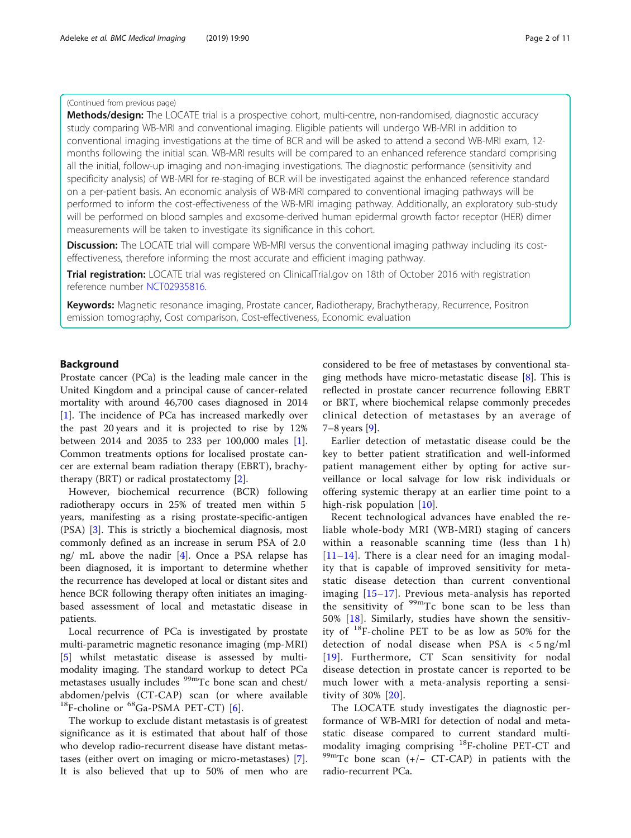## (Continued from previous page)

Methods/design: The LOCATE trial is a prospective cohort, multi-centre, non-randomised, diagnostic accuracy study comparing WB-MRI and conventional imaging. Eligible patients will undergo WB-MRI in addition to conventional imaging investigations at the time of BCR and will be asked to attend a second WB-MRI exam, 12 months following the initial scan. WB-MRI results will be compared to an enhanced reference standard comprising all the initial, follow-up imaging and non-imaging investigations. The diagnostic performance (sensitivity and specificity analysis) of WB-MRI for re-staging of BCR will be investigated against the enhanced reference standard on a per-patient basis. An economic analysis of WB-MRI compared to conventional imaging pathways will be performed to inform the cost-effectiveness of the WB-MRI imaging pathway. Additionally, an exploratory sub-study will be performed on blood samples and exosome-derived human epidermal growth factor receptor (HER) dimer measurements will be taken to investigate its significance in this cohort.

**Discussion:** The LOCATE trial will compare WB-MRI versus the conventional imaging pathway including its costeffectiveness, therefore informing the most accurate and efficient imaging pathway.

Trial registration: LOCATE trial was registered on ClinicalTrial.gov on 18th of October 2016 with registration reference number [NCT02935816](http://clinicaltrial.gov/).

Keywords: Magnetic resonance imaging, Prostate cancer, Radiotherapy, Brachytherapy, Recurrence, Positron emission tomography, Cost comparison, Cost-effectiveness, Economic evaluation

## Background

Prostate cancer (PCa) is the leading male cancer in the United Kingdom and a principal cause of cancer-related mortality with around 46,700 cases diagnosed in 2014 [[1\]](#page-9-0). The incidence of PCa has increased markedly over the past 20 years and it is projected to rise by 12% between 2014 and 2035 to 233 per 100,000 males [\[1](#page-9-0)]. Common treatments options for localised prostate cancer are external beam radiation therapy (EBRT), brachytherapy (BRT) or radical prostatectomy [\[2\]](#page-9-0).

However, biochemical recurrence (BCR) following radiotherapy occurs in 25% of treated men within 5 years, manifesting as a rising prostate-specific-antigen (PSA) [[3](#page-9-0)]. This is strictly a biochemical diagnosis, most commonly defined as an increase in serum PSA of 2.0 ng/ mL above the nadir [[4\]](#page-9-0). Once a PSA relapse has been diagnosed, it is important to determine whether the recurrence has developed at local or distant sites and hence BCR following therapy often initiates an imagingbased assessment of local and metastatic disease in patients.

Local recurrence of PCa is investigated by prostate multi-parametric magnetic resonance imaging (mp-MRI) [[5\]](#page-9-0) whilst metastatic disease is assessed by multimodality imaging. The standard workup to detect PCa metastases usually includes <sup>99m</sup>Tc bone scan and chest/ abdomen/pelvis (CT-CAP) scan (or where available  $^{18}$ F-choline or  $^{68}$ Ga-PSMA PET-CT) [[6\]](#page-9-0).

The workup to exclude distant metastasis is of greatest significance as it is estimated that about half of those who develop radio-recurrent disease have distant metastases (either overt on imaging or micro-metastases) [\[7](#page-9-0)]. It is also believed that up to 50% of men who are considered to be free of metastases by conventional staging methods have micro-metastatic disease [\[8\]](#page-9-0). This is reflected in prostate cancer recurrence following EBRT or BRT, where biochemical relapse commonly precedes clinical detection of metastases by an average of 7–8 years [\[9\]](#page-9-0).

Earlier detection of metastatic disease could be the key to better patient stratification and well-informed patient management either by opting for active surveillance or local salvage for low risk individuals or offering systemic therapy at an earlier time point to a high-risk population [[10](#page-9-0)].

Recent technological advances have enabled the reliable whole-body MRI (WB-MRI) staging of cancers within a reasonable scanning time (less than 1 h)  $[11–14]$  $[11–14]$  $[11–14]$  $[11–14]$ . There is a clear need for an imaging modality that is capable of improved sensitivity for metastatic disease detection than current conventional imaging [[15](#page-9-0)–[17\]](#page-9-0). Previous meta-analysis has reported the sensitivity of  $99m$ Tc bone scan to be less than 50% [[18](#page-9-0)]. Similarly, studies have shown the sensitivity of 18F-choline PET to be as low as 50% for the detection of nodal disease when PSA is < 5 ng/ml [[19](#page-9-0)]. Furthermore, CT Scan sensitivity for nodal disease detection in prostate cancer is reported to be much lower with a meta-analysis reporting a sensitivity of 30% [[20](#page-9-0)].

The LOCATE study investigates the diagnostic performance of WB-MRI for detection of nodal and metastatic disease compared to current standard multimodality imaging comprising <sup>18</sup>F-choline PET-CT and <sup>99m</sup>Tc bone scan (+/− CT-CAP) in patients with the radio-recurrent PCa.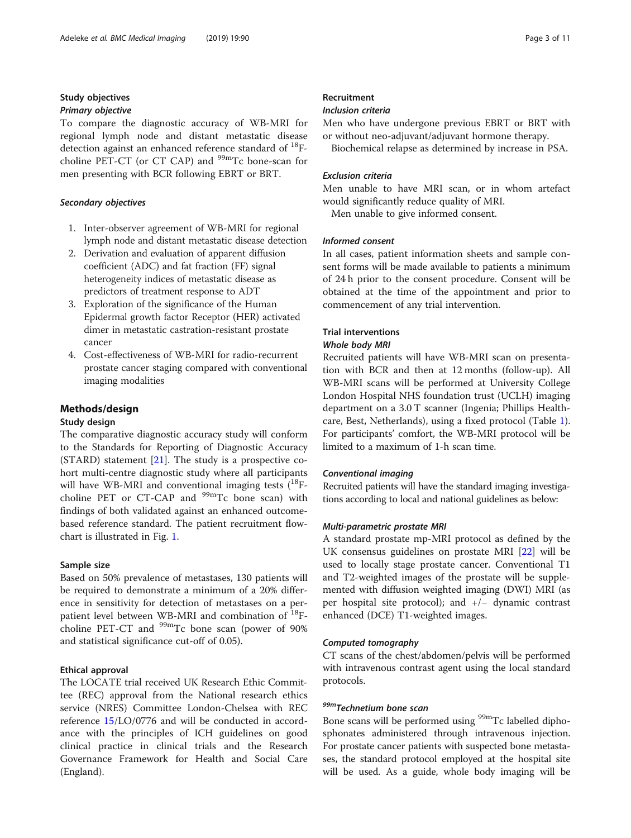## Study objectives Primary objective

To compare the diagnostic accuracy of WB-MRI for regional lymph node and distant metastatic disease detection against an enhanced reference standard of  $^{18}$ Fcholine PET-CT (or CT CAP) and  $99m$ Tc bone-scan for men presenting with BCR following EBRT or BRT.

#### Secondary objectives

- 1. Inter-observer agreement of WB-MRI for regional lymph node and distant metastatic disease detection
- 2. Derivation and evaluation of apparent diffusion coefficient (ADC) and fat fraction (FF) signal heterogeneity indices of metastatic disease as predictors of treatment response to ADT
- 3. Exploration of the significance of the Human Epidermal growth factor Receptor (HER) activated dimer in metastatic castration-resistant prostate cancer
- 4. Cost-effectiveness of WB-MRI for radio-recurrent prostate cancer staging compared with conventional imaging modalities

## Methods/design

## Study design

The comparative diagnostic accuracy study will conform to the Standards for Reporting of Diagnostic Accuracy (STARD) statement  $[21]$  $[21]$ . The study is a prospective cohort multi-centre diagnostic study where all participants will have WB-MRI and conventional imaging tests  $(^{18}F$ choline PET or  $CT-CAP$  and  $99mTc$  bone scan) with findings of both validated against an enhanced outcomebased reference standard. The patient recruitment flowchart is illustrated in Fig. [1.](#page-3-0)

## Sample size

Based on 50% prevalence of metastases, 130 patients will be required to demonstrate a minimum of a 20% difference in sensitivity for detection of metastases on a perpatient level between WB-MRI and combination of <sup>18</sup>Fcholine PET-CT and  $99m$ Tc bone scan (power of 90%) and statistical significance cut-off of 0.05).

## Ethical approval

The LOCATE trial received UK Research Ethic Committee (REC) approval from the National research ethics service (NRES) Committee London-Chelsea with REC reference [15/](#page-9-0)LO/0776 and will be conducted in accordance with the principles of ICH guidelines on good clinical practice in clinical trials and the Research Governance Framework for Health and Social Care (England).

## Recruitment

## Inclusion criteria

Men who have undergone previous EBRT or BRT with or without neo-adjuvant/adjuvant hormone therapy.

Biochemical relapse as determined by increase in PSA.

#### Exclusion criteria

Men unable to have MRI scan, or in whom artefact would significantly reduce quality of MRI.

Men unable to give informed consent.

## Informed consent

In all cases, patient information sheets and sample consent forms will be made available to patients a minimum of 24 h prior to the consent procedure. Consent will be obtained at the time of the appointment and prior to commencement of any trial intervention.

#### Trial interventions

#### Whole body MRI

Recruited patients will have WB-MRI scan on presentation with BCR and then at 12 months (follow-up). All WB-MRI scans will be performed at University College London Hospital NHS foundation trust (UCLH) imaging department on a 3.0 T scanner (Ingenia; Phillips Healthcare, Best, Netherlands), using a fixed protocol (Table [1](#page-4-0)). For participants' comfort, the WB-MRI protocol will be limited to a maximum of 1-h scan time.

#### Conventional imaging

Recruited patients will have the standard imaging investigations according to local and national guidelines as below:

#### Multi-parametric prostate MRI

A standard prostate mp-MRI protocol as defined by the UK consensus guidelines on prostate MRI [[22](#page-9-0)] will be used to locally stage prostate cancer. Conventional T1 and T2-weighted images of the prostate will be supplemented with diffusion weighted imaging (DWI) MRI (as per hospital site protocol); and +/− dynamic contrast enhanced (DCE) T1-weighted images.

#### Computed tomography

CT scans of the chest/abdomen/pelvis will be performed with intravenous contrast agent using the local standard protocols.

# 99mTechnetium bone scan

Bone scans will be performed using <sup>99m</sup>Tc labelled diphosphonates administered through intravenous injection. For prostate cancer patients with suspected bone metastases, the standard protocol employed at the hospital site will be used. As a guide, whole body imaging will be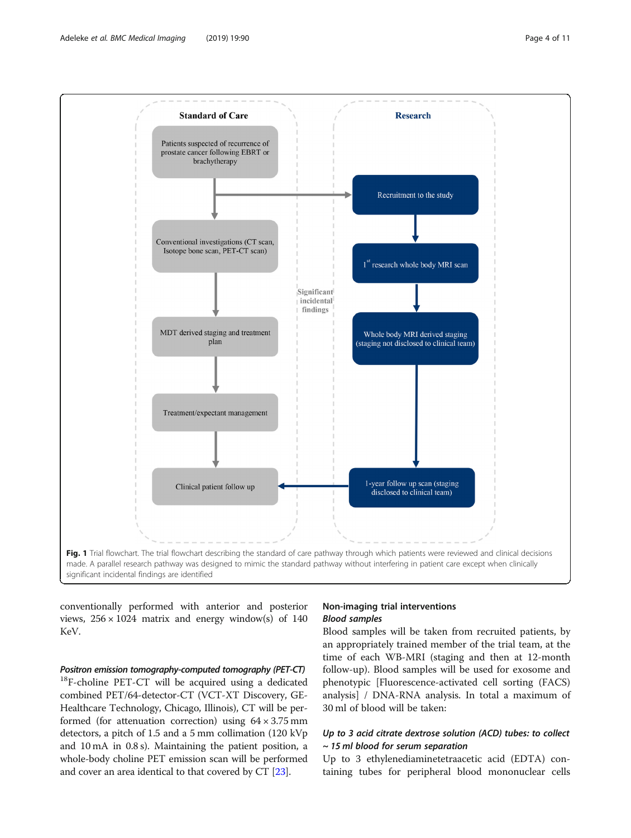<span id="page-3-0"></span>

conventionally performed with anterior and posterior views,  $256 \times 1024$  matrix and energy window(s) of 140 KeV.

## Positron emission tomography-computed tomography (PET-CT)

<sup>18</sup>F-choline PET-CT will be acquired using a dedicated combined PET/64-detector-CT (VCT-XT Discovery, GE-Healthcare Technology, Chicago, Illinois), CT will be performed (for attenuation correction) using  $64 \times 3.75$  mm detectors, a pitch of 1.5 and a 5 mm collimation (120 kVp and 10 mA in 0.8 s). Maintaining the patient position, a whole-body choline PET emission scan will be performed and cover an area identical to that covered by CT [[23](#page-9-0)].

## Non-imaging trial interventions Blood samples

Blood samples will be taken from recruited patients, by an appropriately trained member of the trial team, at the time of each WB-MRI (staging and then at 12-month follow-up). Blood samples will be used for exosome and phenotypic [Fluorescence-activated cell sorting (FACS) analysis] / DNA-RNA analysis. In total a maximum of 30 ml of blood will be taken:

## Up to 3 acid citrate dextrose solution (ACD) tubes: to collect ~ 15 ml blood for serum separation

Up to 3 ethylenediaminetetraacetic acid (EDTA) containing tubes for peripheral blood mononuclear cells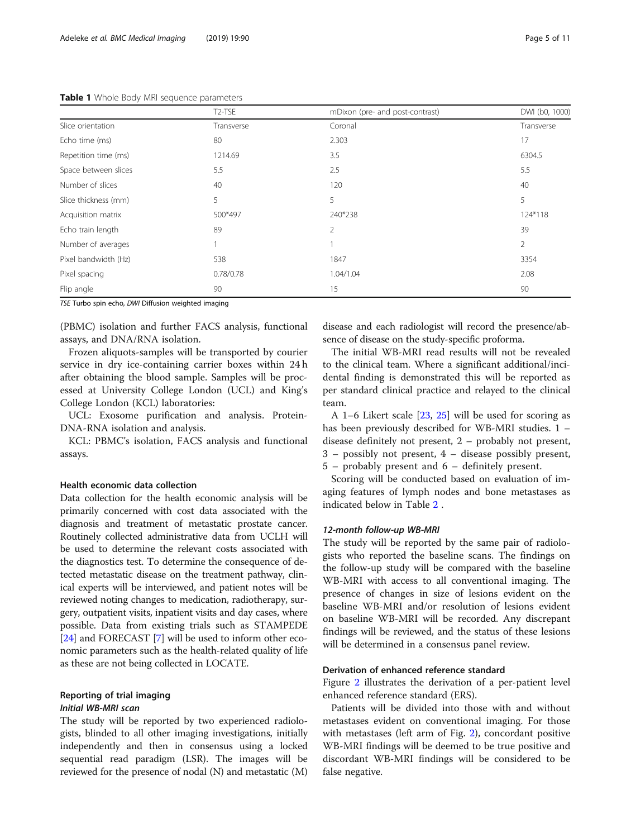#### <span id="page-4-0"></span>Table 1 Whole Body MRI sequence parameters

|                      | T <sub>2</sub> -TSE | mDixon (pre- and post-contrast) | DWI (b0, 1000) |  |
|----------------------|---------------------|---------------------------------|----------------|--|
| Slice orientation    | Transverse          | Coronal                         | Transverse     |  |
| Echo time (ms)       | 80                  | 2.303                           | 17             |  |
| Repetition time (ms) | 1214.69             | 3.5                             | 6304.5         |  |
| Space between slices | 5.5                 | 2.5                             | 5.5            |  |
| Number of slices     | 40                  | 120                             | 40             |  |
| Slice thickness (mm) | 5                   | 5                               | 5              |  |
| Acquisition matrix   | 500*497             | 240*238                         | 124*118        |  |
| Echo train length    | 89                  | $\overline{2}$                  | 39             |  |
| Number of averages   |                     |                                 | $\overline{2}$ |  |
| Pixel bandwidth (Hz) | 538                 | 1847                            | 3354           |  |
| Pixel spacing        | 0.78/0.78           | 1.04/1.04                       | 2.08           |  |
| Flip angle           | 90                  | 15                              | 90             |  |

TSE Turbo spin echo, DWI Diffusion weighted imaging

(PBMC) isolation and further FACS analysis, functional assays, and DNA/RNA isolation.

Frozen aliquots-samples will be transported by courier service in dry ice-containing carrier boxes within 24 h after obtaining the blood sample. Samples will be processed at University College London (UCL) and King's College London (KCL) laboratories:

UCL: Exosome purification and analysis. Protein-DNA-RNA isolation and analysis.

KCL: PBMC's isolation, FACS analysis and functional assays.

#### Health economic data collection

Data collection for the health economic analysis will be primarily concerned with cost data associated with the diagnosis and treatment of metastatic prostate cancer. Routinely collected administrative data from UCLH will be used to determine the relevant costs associated with the diagnostics test. To determine the consequence of detected metastatic disease on the treatment pathway, clinical experts will be interviewed, and patient notes will be reviewed noting changes to medication, radiotherapy, surgery, outpatient visits, inpatient visits and day cases, where possible. Data from existing trials such as STAMPEDE [[24](#page-9-0)] and FORECAST [\[7](#page-9-0)] will be used to inform other economic parameters such as the health-related quality of life as these are not being collected in LOCATE.

## Reporting of trial imaging Initial WB-MRI scan

The study will be reported by two experienced radiologists, blinded to all other imaging investigations, initially independently and then in consensus using a locked sequential read paradigm (LSR). The images will be reviewed for the presence of nodal (N) and metastatic (M)

disease and each radiologist will record the presence/absence of disease on the study-specific proforma.

The initial WB-MRI read results will not be revealed to the clinical team. Where a significant additional/incidental finding is demonstrated this will be reported as per standard clinical practice and relayed to the clinical team.

A 1–6 Likert scale [[23](#page-9-0), [25\]](#page-9-0) will be used for scoring as has been previously described for WB-MRI studies. 1 – disease definitely not present, 2 – probably not present, 3 – possibly not present, 4 – disease possibly present, 5 – probably present and 6 – definitely present.

Scoring will be conducted based on evaluation of imaging features of lymph nodes and bone metastases as indicated below in Table [2](#page-5-0) .

#### 12-month follow-up WB-MRI

The study will be reported by the same pair of radiologists who reported the baseline scans. The findings on the follow-up study will be compared with the baseline WB-MRI with access to all conventional imaging. The presence of changes in size of lesions evident on the baseline WB-MRI and/or resolution of lesions evident on baseline WB-MRI will be recorded. Any discrepant findings will be reviewed, and the status of these lesions will be determined in a consensus panel review.

#### Derivation of enhanced reference standard

Figure [2](#page-5-0) illustrates the derivation of a per-patient level enhanced reference standard (ERS).

Patients will be divided into those with and without metastases evident on conventional imaging. For those with metastases (left arm of Fig. [2](#page-5-0)), concordant positive WB-MRI findings will be deemed to be true positive and discordant WB-MRI findings will be considered to be false negative.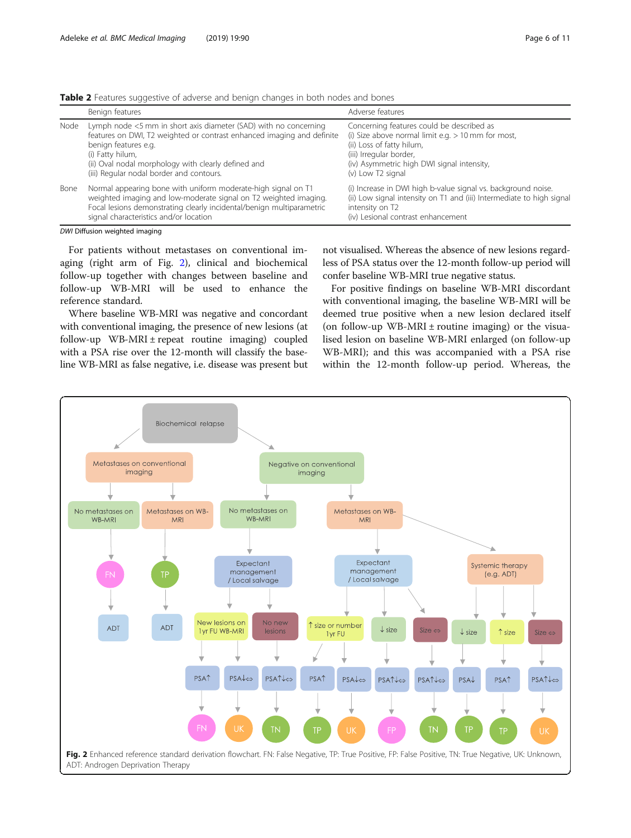<span id="page-5-0"></span>

| Table 2 Features suggestive of adverse and benign changes in both nodes and bones |  |  |  |  |
|-----------------------------------------------------------------------------------|--|--|--|--|
|                                                                                   |  |  |  |  |

|      | Benign features                                                                                                                                                                                                                                                                           | Adverse features                                                                                                                                                                                                             |
|------|-------------------------------------------------------------------------------------------------------------------------------------------------------------------------------------------------------------------------------------------------------------------------------------------|------------------------------------------------------------------------------------------------------------------------------------------------------------------------------------------------------------------------------|
| Node | Lymph node <5 mm in short axis diameter (SAD) with no concerning<br>features on DWI, T2 weighted or contrast enhanced imaging and definite<br>benign features e.g.<br>(i) Fatty hilum,<br>(ii) Oval nodal morphology with clearly defined and<br>(iii) Regular nodal border and contours. | Concerning features could be described as<br>(i) Size above normal limit e.g. $> 10$ mm for most,<br>(ii) Loss of fatty hilum,<br>(iii) Irregular border,<br>(iv) Asymmetric high DWI signal intensity,<br>(v) Low T2 signal |
| Bone | Normal appearing bone with uniform moderate-high signal on T1<br>weighted imaging and low-moderate signal on T2 weighted imaging.<br>Focal lesions demonstrating clearly incidental/benign multiparametric<br>signal characteristics and/or location                                      | (i) Increase in DWI high b-value signal vs. background noise.<br>(ii) Low signal intensity on T1 and (iii) Intermediate to high signal<br>intensity on T2<br>(iv) Lesional contrast enhancement                              |

DWI Diffusion weighted imaging

For patients without metastases on conventional imaging (right arm of Fig. 2), clinical and biochemical follow-up together with changes between baseline and follow-up WB-MRI will be used to enhance the reference standard.

Where baseline WB-MRI was negative and concordant with conventional imaging, the presence of new lesions (at follow-up WB-MRI  $\pm$  repeat routine imaging) coupled with a PSA rise over the 12-month will classify the baseline WB-MRI as false negative, i.e. disease was present but

not visualised. Whereas the absence of new lesions regardless of PSA status over the 12-month follow-up period will confer baseline WB-MRI true negative status.

For positive findings on baseline WB-MRI discordant with conventional imaging, the baseline WB-MRI will be deemed true positive when a new lesion declared itself (on follow-up WB-MRI  $\pm$  routine imaging) or the visualised lesion on baseline WB-MRI enlarged (on follow-up WB-MRI); and this was accompanied with a PSA rise within the 12-month follow-up period. Whereas, the

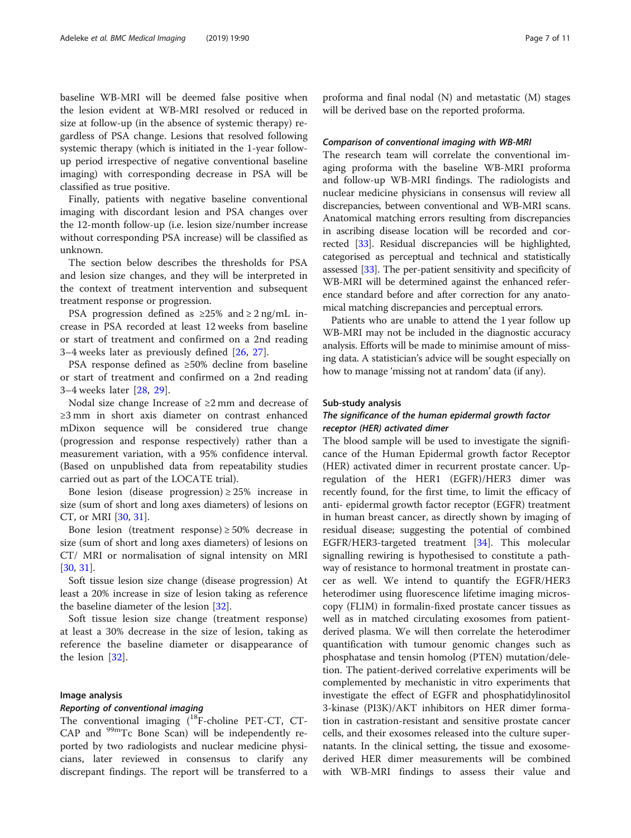baseline WB-MRI will be deemed false positive when the lesion evident at WB-MRI resolved or reduced in size at follow-up (in the absence of systemic therapy) regardless of PSA change. Lesions that resolved following systemic therapy (which is initiated in the 1-year followup period irrespective of negative conventional baseline imaging) with corresponding decrease in PSA will be classified as true positive.

Finally, patients with negative baseline conventional imaging with discordant lesion and PSA changes over the 12-month follow-up (i.e. lesion size/number increase without corresponding PSA increase) will be classified as unknown.

The section below describes the thresholds for PSA and lesion size changes, and they will be interpreted in the context of treatment intervention and subsequent treatment response or progression.

PSA progression defined as  $\geq 25\%$  and  $\geq 2$  ng/mL increase in PSA recorded at least 12 weeks from baseline or start of treatment and confirmed on a 2nd reading 3–4 weeks later as previously defined [\[26](#page-9-0), [27\]](#page-9-0).

PSA response defined as ≥50% decline from baseline or start of treatment and confirmed on a 2nd reading 3–4 weeks later [\[28](#page-9-0), [29](#page-9-0)].

Nodal size change Increase of ≥2 mm and decrease of ≥3 mm in short axis diameter on contrast enhanced mDixon sequence will be considered true change (progression and response respectively) rather than a measurement variation, with a 95% confidence interval. (Based on unpublished data from repeatability studies carried out as part of the LOCATE trial).

Bone lesion (disease progression)  $\geq$  25% increase in size (sum of short and long axes diameters) of lesions on CT, or MRI [\[30](#page-10-0), [31\]](#page-10-0).

Bone lesion (treatment response)  $\geq$  50% decrease in size (sum of short and long axes diameters) of lesions on CT/ MRI or normalisation of signal intensity on MRI [[30,](#page-10-0) [31\]](#page-10-0).

Soft tissue lesion size change (disease progression) At least a 20% increase in size of lesion taking as reference the baseline diameter of the lesion [[32\]](#page-10-0).

Soft tissue lesion size change (treatment response) at least a 30% decrease in the size of lesion, taking as reference the baseline diameter or disappearance of the lesion [\[32](#page-10-0)].

#### Image analysis

#### Reporting of conventional imaging

The conventional imaging (<sup>18</sup>F-choline PET-CT, CT-CAP and <sup>99m</sup>Tc Bone Scan) will be independently reported by two radiologists and nuclear medicine physicians, later reviewed in consensus to clarify any discrepant findings. The report will be transferred to a

proforma and final nodal (N) and metastatic (M) stages will be derived base on the reported proforma.

#### Comparison of conventional imaging with WB-MRI

The research team will correlate the conventional imaging proforma with the baseline WB-MRI proforma and follow-up WB-MRI findings. The radiologists and nuclear medicine physicians in consensus will review all discrepancies, between conventional and WB-MRI scans. Anatomical matching errors resulting from discrepancies in ascribing disease location will be recorded and corrected [\[33\]](#page-10-0). Residual discrepancies will be highlighted, categorised as perceptual and technical and statistically assessed [[33](#page-10-0)]. The per-patient sensitivity and specificity of WB-MRI will be determined against the enhanced reference standard before and after correction for any anatomical matching discrepancies and perceptual errors.

Patients who are unable to attend the 1 year follow up WB-MRI may not be included in the diagnostic accuracy analysis. Efforts will be made to minimise amount of missing data. A statistician's advice will be sought especially on how to manage 'missing not at random' data (if any).

#### Sub-study analysis

## The significance of the human epidermal growth factor receptor (HER) activated dimer

The blood sample will be used to investigate the significance of the Human Epidermal growth factor Receptor (HER) activated dimer in recurrent prostate cancer. Upregulation of the HER1 (EGFR)/HER3 dimer was recently found, for the first time, to limit the efficacy of anti- epidermal growth factor receptor (EGFR) treatment in human breast cancer, as directly shown by imaging of residual disease; suggesting the potential of combined EGFR/HER3-targeted treatment [\[34](#page-10-0)]. This molecular signalling rewiring is hypothesised to constitute a pathway of resistance to hormonal treatment in prostate cancer as well. We intend to quantify the EGFR/HER3 heterodimer using fluorescence lifetime imaging microscopy (FLIM) in formalin-fixed prostate cancer tissues as well as in matched circulating exosomes from patientderived plasma. We will then correlate the heterodimer quantification with tumour genomic changes such as phosphatase and tensin homolog (PTEN) mutation/deletion. The patient-derived correlative experiments will be complemented by mechanistic in vitro experiments that investigate the effect of EGFR and phosphatidylinositol 3-kinase (PI3K)/AKT inhibitors on HER dimer formation in castration-resistant and sensitive prostate cancer cells, and their exosomes released into the culture supernatants. In the clinical setting, the tissue and exosomederived HER dimer measurements will be combined with WB-MRI findings to assess their value and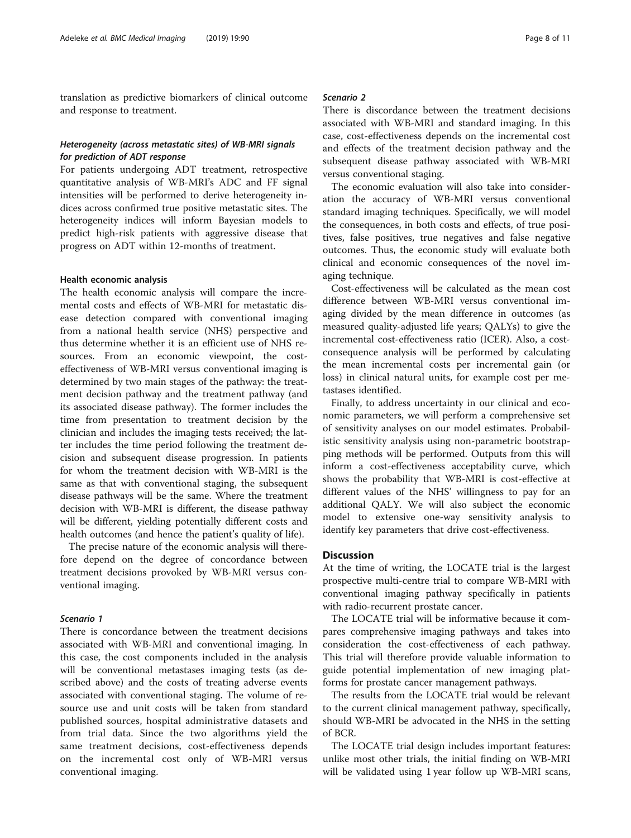translation as predictive biomarkers of clinical outcome and response to treatment.

## Heterogeneity (across metastatic sites) of WB-MRI signals for prediction of ADT response

For patients undergoing ADT treatment, retrospective quantitative analysis of WB-MRI's ADC and FF signal intensities will be performed to derive heterogeneity indices across confirmed true positive metastatic sites. The heterogeneity indices will inform Bayesian models to predict high-risk patients with aggressive disease that progress on ADT within 12-months of treatment.

#### Health economic analysis

The health economic analysis will compare the incremental costs and effects of WB-MRI for metastatic disease detection compared with conventional imaging from a national health service (NHS) perspective and thus determine whether it is an efficient use of NHS resources. From an economic viewpoint, the costeffectiveness of WB-MRI versus conventional imaging is determined by two main stages of the pathway: the treatment decision pathway and the treatment pathway (and its associated disease pathway). The former includes the time from presentation to treatment decision by the clinician and includes the imaging tests received; the latter includes the time period following the treatment decision and subsequent disease progression. In patients for whom the treatment decision with WB-MRI is the same as that with conventional staging, the subsequent disease pathways will be the same. Where the treatment decision with WB-MRI is different, the disease pathway will be different, yielding potentially different costs and health outcomes (and hence the patient's quality of life).

The precise nature of the economic analysis will therefore depend on the degree of concordance between treatment decisions provoked by WB-MRI versus conventional imaging.

#### Scenario 1

There is concordance between the treatment decisions associated with WB-MRI and conventional imaging. In this case, the cost components included in the analysis will be conventional metastases imaging tests (as described above) and the costs of treating adverse events associated with conventional staging. The volume of resource use and unit costs will be taken from standard published sources, hospital administrative datasets and from trial data. Since the two algorithms yield the same treatment decisions, cost-effectiveness depends on the incremental cost only of WB-MRI versus conventional imaging.

## Scenario 2

There is discordance between the treatment decisions associated with WB-MRI and standard imaging. In this case, cost-effectiveness depends on the incremental cost and effects of the treatment decision pathway and the subsequent disease pathway associated with WB-MRI versus conventional staging.

The economic evaluation will also take into consideration the accuracy of WB-MRI versus conventional standard imaging techniques. Specifically, we will model the consequences, in both costs and effects, of true positives, false positives, true negatives and false negative outcomes. Thus, the economic study will evaluate both clinical and economic consequences of the novel imaging technique.

Cost-effectiveness will be calculated as the mean cost difference between WB-MRI versus conventional imaging divided by the mean difference in outcomes (as measured quality-adjusted life years; QALYs) to give the incremental cost-effectiveness ratio (ICER). Also, a costconsequence analysis will be performed by calculating the mean incremental costs per incremental gain (or loss) in clinical natural units, for example cost per metastases identified.

Finally, to address uncertainty in our clinical and economic parameters, we will perform a comprehensive set of sensitivity analyses on our model estimates. Probabilistic sensitivity analysis using non-parametric bootstrapping methods will be performed. Outputs from this will inform a cost-effectiveness acceptability curve, which shows the probability that WB-MRI is cost-effective at different values of the NHS' willingness to pay for an additional QALY. We will also subject the economic model to extensive one-way sensitivity analysis to identify key parameters that drive cost-effectiveness.

## **Discussion**

At the time of writing, the LOCATE trial is the largest prospective multi-centre trial to compare WB-MRI with conventional imaging pathway specifically in patients with radio-recurrent prostate cancer.

The LOCATE trial will be informative because it compares comprehensive imaging pathways and takes into consideration the cost-effectiveness of each pathway. This trial will therefore provide valuable information to guide potential implementation of new imaging platforms for prostate cancer management pathways.

The results from the LOCATE trial would be relevant to the current clinical management pathway, specifically, should WB-MRI be advocated in the NHS in the setting of BCR.

The LOCATE trial design includes important features: unlike most other trials, the initial finding on WB-MRI will be validated using 1 year follow up WB-MRI scans,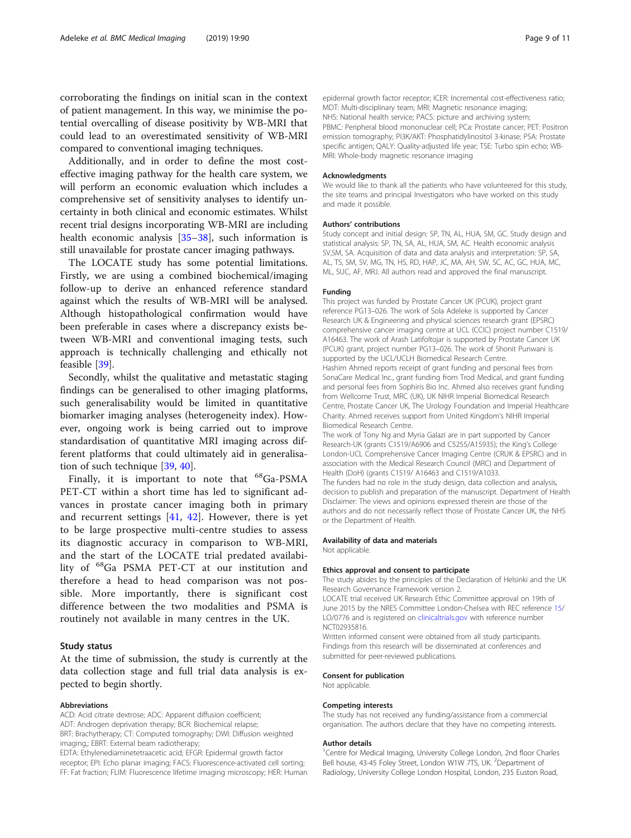corroborating the findings on initial scan in the context of patient management. In this way, we minimise the potential overcalling of disease positivity by WB-MRI that could lead to an overestimated sensitivity of WB-MRI compared to conventional imaging techniques.

Additionally, and in order to define the most costeffective imaging pathway for the health care system, we will perform an economic evaluation which includes a comprehensive set of sensitivity analyses to identify uncertainty in both clinical and economic estimates. Whilst recent trial designs incorporating WB-MRI are including health economic analysis [[35](#page-10-0)–[38\]](#page-10-0), such information is still unavailable for prostate cancer imaging pathways.

The LOCATE study has some potential limitations. Firstly, we are using a combined biochemical/imaging follow-up to derive an enhanced reference standard against which the results of WB-MRI will be analysed. Although histopathological confirmation would have been preferable in cases where a discrepancy exists between WB-MRI and conventional imaging tests, such approach is technically challenging and ethically not feasible [[39\]](#page-10-0).

Secondly, whilst the qualitative and metastatic staging findings can be generalised to other imaging platforms, such generalisability would be limited in quantitative biomarker imaging analyses (heterogeneity index). However, ongoing work is being carried out to improve standardisation of quantitative MRI imaging across different platforms that could ultimately aid in generalisation of such technique [[39,](#page-10-0) [40\]](#page-10-0).

Finally, it is important to note that <sup>68</sup>Ga-PSMA PET-CT within a short time has led to significant advances in prostate cancer imaging both in primary and recurrent settings  $[41, 42]$  $[41, 42]$  $[41, 42]$  $[41, 42]$ . However, there is yet to be large prospective multi-centre studies to assess its diagnostic accuracy in comparison to WB-MRI, and the start of the LOCATE trial predated availability of 68Ga PSMA PET-CT at our institution and therefore a head to head comparison was not possible. More importantly, there is significant cost difference between the two modalities and PSMA is routinely not available in many centres in the UK.

#### Study status

At the time of submission, the study is currently at the data collection stage and full trial data analysis is expected to begin shortly.

#### Abbreviations

ACD: Acid citrate dextrose; ADC: Apparent diffusion coefficient; ADT: Androgen deprivation therapy; BCR: Biochemical relapse; BRT: Brachytherapy; CT: Computed tomography; DWI: Diffusion weighted imaging,; EBRT: External beam radiotherapy; EDTA: Ethylenediaminetetraacetic acid; EFGR: Epidermal growth factor

receptor; EPI: Echo planar imaging; FACS: Fluorescence-activated cell sorting; FF: Fat fraction; FLIM: Fluorescence lifetime imaging microscopy; HER: Human epidermal growth factor receptor; ICER: Incremental cost-effectiveness ratio; MDT: Multi-disciplinary team; MRI: Magnetic resonance imaging; NHS: National health service; PACS: picture and archiving system; PBMC: Peripheral blood mononuclear cell; PCa: Prostate cancer; PET: Positron emission tomography; PI3K/AKT: Phosphatidylinositol 3-kinase; PSA: Prostate specific antigen; QALY: Quality-adjusted life year; TSE: Turbo spin echo; WB-MRI: Whole-body magnetic resonance imaging

#### **Acknowledaments**

We would like to thank all the patients who have volunteered for this study, the site teams and principal Investigators who have worked on this study and made it possible.

#### Authors' contributions

Study concept and initial design: SP, TN, AL, HUA, SM, GC. Study design and statistical analysis: SP, TN, SA, AL, HUA, SM, AC. Health economic analysis SV,SM, SA. Acquisition of data and data analysis and interpretation: SP, SA, AL, TS, SM, SV, MG, TN, HS, RD, HAP, JC, MA, AH, SW, SC, AC, GC, HUA, MC, ML, SUC, AF, MRJ. All authors read and approved the final manuscript.

#### Funding

This project was funded by Prostate Cancer UK (PCUK), project grant reference PG13–026. The work of Sola Adeleke is supported by Cancer Research UK & Engineering and physical sciences research grant (EPSRC) comprehensive cancer imaging centre at UCL (CCIC) project number C1519/ A16463. The work of Arash Latifoltojar is supported by Prostate Cancer UK (PCUK) grant, project number PG13–026. The work of Shonit Punwani is supported by the UCL/UCLH Biomedical Research Centre. Hashim Ahmed reports receipt of grant funding and personal fees from

SonaCare Medical Inc., grant funding from Trod Medical, and grant funding and personal fees from Sophiris Bio Inc. Ahmed also receives grant funding from Wellcome Trust, MRC (UK), UK NIHR Imperial Biomedical Research Centre, Prostate Cancer UK, The Urology Foundation and Imperial Healthcare Charity. Ahmed receives support from United Kingdom's NIHR Imperial Biomedical Research Centre.

The work of Tony Ng and Myria Galazi are in part supported by Cancer Research-UK (grants C1519/A6906 and C5255/A15935); the King's College London-UCL Comprehensive Cancer Imaging Centre (CRUK & EPSRC) and in association with the Medical Research Council (MRC) and Department of Health (DoH) (grants C1519/ A16463 and C1519/A1033.

The funders had no role in the study design, data collection and analysis, decision to publish and preparation of the manuscript. Department of Health Disclaimer: The views and opinions expressed therein are those of the authors and do not necessarily reflect those of Prostate Cancer UK, the NHS or the Department of Health.

#### Availability of data and materials

Not applicable.

#### Ethics approval and consent to participate

The study abides by the principles of the Declaration of Helsinki and the UK Research Governance Framework version 2.

LOCATE trial received UK Research Ethic Committee approval on 19th of June 2015 by the NRES Committee London-Chelsea with REC reference [15](#page-9-0)/ LO/0776 and is registered on [clinicaltrials.gov](http://clinicaltrials.gov) with reference number NCT02935816.

Written informed consent were obtained from all study participants. Findings from this research will be disseminated at conferences and submitted for peer-reviewed publications.

#### Consent for publication

Not applicable.

#### Competing interests

The study has not received any funding/assistance from a commercial organisation. The authors declare that they have no competing interests.

#### Author details

<sup>1</sup> Centre for Medical Imaging, University College London, 2nd floor Charles Bell house, 43-45 Foley Street, London W1W 7TS, UK. <sup>2</sup>Department of Radiology, University College London Hospital, London, 235 Euston Road,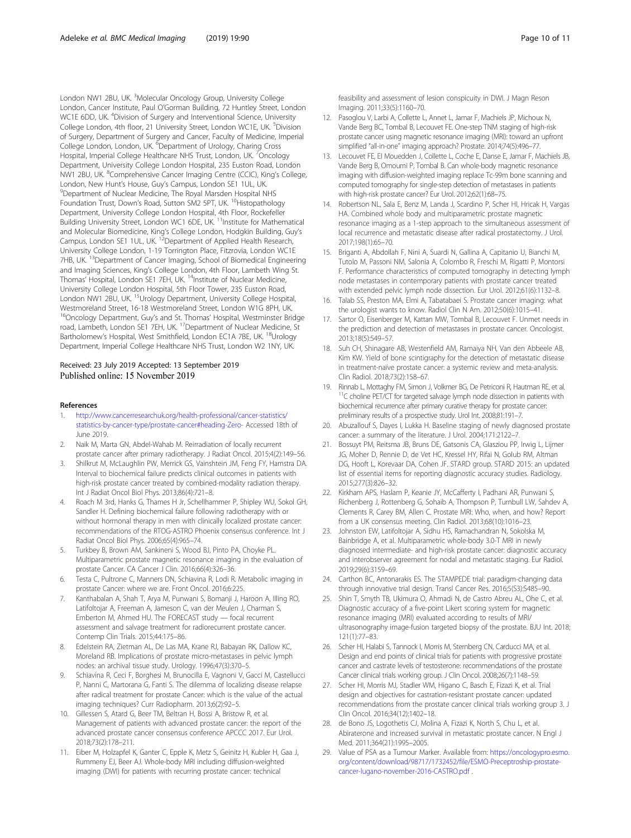<span id="page-9-0"></span>London NW1 2BU, UK. <sup>3</sup>Molecular Oncology Group, University College London, Cancer Institute, Paul O'Gorman Building, 72 Huntley Street, London WC1E 6DD, UK. <sup>4</sup>Division of Surgery and Interventional Science, University College London, 4th floor, 21 University Street, London WC1E, UK. <sup>5</sup>Division of Surgery, Department of Surgery and Cancer, Faculty of Medicine, Imperial College London, London, UK. <sup>6</sup>Department of Urology, Charing Cross Hospital, Imperial College Healthcare NHS Trust, London, UK. <sup>7</sup>Oncology Department, University College London Hospital, 235 Euston Road, London NW1 2BU, UK. <sup>8</sup>Comprehensive Cancer Imaging Centre (CCIC), King's College, London, New Hunt's House, Guy's Campus, London SE1 1UL, UK. <sup>9</sup> Department of Nuclear Medicine, The Royal Marsden Hospital NHS Foundation Trust, Down's Road, Sutton SM2 5PT, UK.<sup>10</sup>Histopathology Department, University College London Hospital, 4th Floor, Rockefeller Building University Street, London WC1 6DE, UK.<sup>11</sup>Institute for Mathematical and Molecular Biomedicine, King's College London, Hodgkin Building, Guy's Campus, London SE1 1UL, UK.<sup>12</sup>Department of Applied Health Research, University College London, 1-19 Torrington Place, Fitzrovia, London WC1E 7HB, UK.<sup>13</sup>Department of Cancer Imaging, School of Biomedical Engineering and Imaging Sciences, King's College London, 4th Floor, Lambeth Wing St. Thomas' Hospital, London SE1 7EH, UK.<sup>14</sup>Institute of Nuclear Medicine, University College London Hospital, 5th Floor Tower, 235 Euston Road, London NW1 2BU, UK. <sup>15</sup>Urology Department, University College Hospital, Westmoreland Street, 16-18 Westmoreland Street, London W1G 8PH, UK. <sup>16</sup>Oncology Department, Guy's and St. Thomas' Hospital, Westminster Bridge road, Lambeth, London SE1 7EH, UK. 17Department of Nuclear Medicine, St Bartholomew's Hospital, West Smithfield, London EC1A 7BE, UK. <sup>18</sup>Urology Department, Imperial College Healthcare NHS Trust, London W2 1NY, UK.

#### Received: 23 July 2019 Accepted: 13 September 2019 Published online: 15 November 2019

#### References

- 1. [http://www.cancerresearchuk.org/health-professional/cancer-statistics/](http://www.cancerresearchuk.org/health-professional/cancer-statistics/statistics-by-cancer-type/prostate-cancer#heading-Zero-) [statistics-by-cancer-type/prostate-cancer#heading-Zero-](http://www.cancerresearchuk.org/health-professional/cancer-statistics/statistics-by-cancer-type/prostate-cancer#heading-Zero-) Accessed 18th of June 2019.
- 2. Naik M, Marta GN, Abdel-Wahab M. Reirradiation of locally recurrent
- prostate cancer after primary radiotherapy. J Radiat Oncol. 2015;4(2):149–56. 3. Shilkrut M, McLaughlin PW, Merrick GS, Vainshtein JM, Feng FY, Hamstra DA. Interval to biochemical failure predicts clinical outcomes in patients with high-risk prostate cancer treated by combined-modality radiation therapy. Int J Radiat Oncol Biol Phys. 2013;86(4):721–8.
- 4. Roach M 3rd, Hanks G, Thames H Jr, Schellhammer P, Shipley WU, Sokol GH, Sandler H. Defining biochemical failure following radiotherapy with or without hormonal therapy in men with clinically localized prostate cancer: recommendations of the RTOG-ASTRO Phoenix consensus conference. Int J Radiat Oncol Biol Phys. 2006;65(4):965–74.
- 5. Turkbey B, Brown AM, Sankineni S, Wood BJ, Pinto PA, Choyke PL. Multiparametric prostate magnetic resonance imaging in the evaluation of prostate Cancer. CA Cancer J Clin. 2016;66(4):326–36.
- 6. Testa C, Pultrone C, Manners DN, Schiavina R, Lodi R. Metabolic imaging in prostate Cancer: where we are. Front Oncol. 2016;6:225.
- 7. Kanthabalan A, Shah T, Arya M, Punwani S, Bomanji J, Haroon A, Illing RO, Latifoltojar A, Freeman A, Jameson C, van der Meulen J, Charman S, Emberton M, Ahmed HU. The FORECAST study — focal recurrent assessment and salvage treatment for radiorecurrent prostate cancer. Contemp Clin Trials. 2015;44:175–86.
- 8. Edelstein RA, Zietman AL, De Las MA, Krane RJ, Babayan RK, Dallow KC, Moreland RB. Implications of prostate micro-metastases in pelvic lymph nodes: an archival tissue study. Urology. 1996;47(3):370–5.
- Schiavina R, Ceci F, Borghesi M, Brunocilla E, Vagnoni V, Gacci M, Castellucci P, Nanni C, Martorana G, Fanti S. The dilemma of localizing disease relapse after radical treatment for prostate Cancer: which is the value of the actual imaging techniques? Curr Radiopharm. 2013;6(2):92–5.
- 10. Gillessen S, Atard G, Beer TM, Beltran H, Bossi A, Bristow R, et al. Management of patients with advanced prostate cancer: the report of the advanced prostate cancer consensus conference APCCC 2017. Eur Urol. 2018;73(2):178–211.
- 11. Eiber M, Holzapfel K, Ganter C, Epple K, Metz S, Geinitz H, Kubler H, Gaa J, Rummeny EJ, Beer AJ. Whole-body MRI including diffusion-weighted imaging (DWI) for patients with recurring prostate cancer: technical

feasibility and assessment of lesion conspicuity in DWI. J Magn Reson Imaging. 2011;33(5):1160–70.

- 12. Pasoglou V, Larbi A, Collette L, Annet L, Jamar F, Machiels JP, Michoux N, Vande Berg BC, Tombal B, Lecouvet FE. One-step TNM staging of high-risk prostate cancer using magnetic resonance imaging (MRI): toward an upfront simplified "all-in-one" imaging approach? Prostate. 2014;74(5):496–77.
- 13. Lecouvet FE, El Mouedden J, Collette L, Coche E, Danse E, Jamar F, Machiels JB, Vande Berg B, Omoumi P, Tombal B. Can whole-body magnetic resonance imaging with diffusion-weighted imaging replace Tc-99m bone scanning and computed tomography for single-step detection of metastases in patients with high-risk prostate cancer? Eur Urol. 2012;62(1):68–75.
- 14. Robertson NL, Sala E, Benz M, Landa J, Scardino P, Scher HI, Hricak H, Vargas HA. Combined whole body and multiparametric prostate magnetic resonance imaging as a 1-step approach to the simultaneous assessment of local recurrence and metastatic disease after radical prostatectomy. J Urol. 2017;198(1):65–70.
- 15. Briganti A, Abdollah F, Nini A, Suardi N, Gallina A, Capitanio U, Bianchi M, Tutolo M, Passoni NM, Salonia A, Colombo R, Freschi M, Rigatti P, Montorsi F. Performance characteristics of computed tomography in detecting lymph node metastases in contemporary patients with prostate cancer treated with extended pelvic lymph node dissection. Eur Urol. 2012;61(6):1132–8.
- 16. Talab SS, Preston MA, Elmi A, Tabatabaei S. Prostate cancer imaging: what the urologist wants to know. Radiol Clin N Am. 2012;50(6):1015–41.
- 17. Sartor O, Eisenberger M, Kattan MW, Tombal B, Lecouvet F. Unmet needs in the prediction and detection of metastases in prostate cancer. Oncologist. 2013;18(5):549–57.
- 18. Suh CH, Shinagare AB, Westenfield AM, Ramaiya NH, Van den Abbeele AB, Kim KW. Yield of bone scintigraphy for the detection of metastatic disease in treatment-naïve prostate cancer: a systemic review and meta-analysis. Clin Radiol. 2018;73(2):158–67.
- 19. Rinnab L, Mottaghy FM, Simon J, Volkmer BG, De Petriconi R, Hautman RE, et al.<br><sup>11</sup>C choline PET/CT for targeted salvage lymph node dissection in patients with biochemical recurrence after primary curative therapy for prostate cancer: preliminary results of a prospective study. Urol Int. 2008;81:191–7.
- 20. Abuzallouf S, Dayes I, Lukka H. Baseline staging of newly diagnosed prostate cancer: a summary of the literature. J Urol. 2004;171:2122–7.
- 21. Bossuyt PM, Reitsma JB, Bruns DE, Gatsonis CA, Glasziou PP, Irwig L, Lijmer JG, Moher D, Rennie D, de Vet HC, Kressel HY, Rifai N, Golub RM, Altman DG, Hooft L, Korevaar DA, Cohen JF. STARD group. STARD 2015: an updated list of essential items for reporting diagnostic accuracy studies. Radiology. 2015;277(3):826–32.
- 22. Kirkham APS, Haslam P, Keanie JY, McCafferty I, Padhani AR, Punwani S, Richenberg J, Rottenberg G, Sohaib A, Thompson P, Turnbull LW, Sahdev A, Clements R, Carey BM, Allen C. Prostate MRI: Who, when, and how? Report from a UK consensus meeting. Clin Radiol. 2013;68(10):1016–23.
- 23. Johnston EW, Latifoltojar A, Sidhu HS, Ramachandran N, Sokolska M, Bainbridge A, et al. Multiparametric whole-body 3.0-T MRI in newly diagnosed intermediate- and high-risk prostate cancer: diagnostic accuracy and interobserver agreement for nodal and metastatic staging. Eur Radiol. 2019;29(6):3159–69.
- 24. Carthon BC, Antonarakis ES. The STAMPEDE trial: paradigm-changing data through innovative trial design. Transl Cancer Res. 2016;5(S3):S485–90.
- 25. Shin T, Smyth TB, Ukimura O, Ahmadi N, de Castro Abreu AL, Ohe C, et al. Diagnostic accuracy of a five-point Likert scoring system for magnetic resonance imaging (MRI) evaluated according to results of MRI/ ultrasonography image-fusion targeted biopsy of the prostate. BJU Int. 2018; 121(1):77–83.
- 26. Scher HI, Halabi S, Tannock I, Morris M, Sternberg CN, Carducci MA, et al. Design and end points of clinical trials for patients with progressive prostate cancer and castrate levels of testosterone: recommendations of the prostate Cancer clinical trials working group. J Clin Oncol. 2008;26(7):1148–59.
- 27. Scher HI, Morris MJ, Stadler WM, Higano C, Basch E, Fizazi K, et al. Trial design and objectives for castration-resistant prostate cancer: updated recommendations from the prostate cancer clinical trials working group 3. J Clin Oncol. 2016;34(12):1402–18.
- 28. de Bono JS, Logothetis CJ, Molina A, Fizazi K, North S, Chu L, et al. Abiraterone and increased survival in metastatic prostate cancer. N Engl J Med. 2011;364(21):1995–2005.
- 29. Value of PSA as a Tumour Marker. Available from: [https://oncologypro.esmo.](https://oncologypro.esmo.org/content/download/98717/1732452/file/ESMO-Preceptroship-prostate-cancer-lugano-november-2016-CASTRO.pdf) [org/content/download/98717/1732452/file/ESMO-Preceptroship-prostate](https://oncologypro.esmo.org/content/download/98717/1732452/file/ESMO-Preceptroship-prostate-cancer-lugano-november-2016-CASTRO.pdf)[cancer-lugano-november-2016-CASTRO.pdf](https://oncologypro.esmo.org/content/download/98717/1732452/file/ESMO-Preceptroship-prostate-cancer-lugano-november-2016-CASTRO.pdf) .